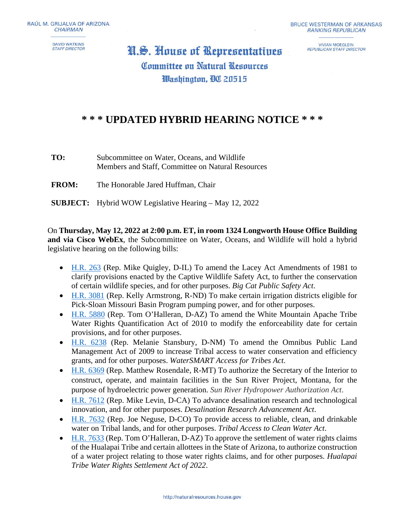**DAVID WATKINS STAFF DIRECTOR** 

**VIVIAN MOEGLEIN REPUBLICAN STAFF DIRECTOR** 

## H.S. House of Representatives **Committee on Natural Resources** Washington, **BO** 20515

## **\* \* \* UPDATED HYBRID HEARING NOTICE \* \* \***

**TO:** Subcommittee on Water, Oceans, and Wildlife Members and Staff, Committee on Natural Resources

**FROM:** The Honorable Jared Huffman, Chair

**SUBJECT:** Hybrid WOW Legislative Hearing – May 12, 2022

On **Thursday, May 12, 2022 at 2:00 p.m. ET, in room 1324 Longworth House Office Building and via Cisco WebEx**, the Subcommittee on Water, Oceans, and Wildlife will hold a hybrid legislative hearing on the following bills:

- [H.R. 263](https://www.congress.gov/bill/117th-congress/house-bill/263/text) (Rep. Mike Quigley, D-IL) To amend the Lacey Act Amendments of 1981 to clarify provisions enacted by the Captive Wildlife Safety Act, to further the conservation of certain wildlife species, and for other purposes. *Big Cat Public Safety Act*.
- [H.R. 3081](https://www.congress.gov/bill/117th-congress/house-bill/3081) (Rep. Kelly Armstrong, R-ND) To make certain irrigation districts eligible for Pick-Sloan Missouri Basin Program pumping power, and for other purposes.
- [H.R. 5880](https://www.congress.gov/bill/117th-congress/house-bill/5880) (Rep. Tom O'Halleran, D-AZ) To amend the White Mountain Apache Tribe Water Rights Quantification Act of 2010 to modify the enforceability date for certain provisions, and for other purposes.
- [H.R. 6238](https://www.congress.gov/bill/117th-congress/house-bill/6238) (Rep. Melanie Stansbury, D-NM) To amend the Omnibus Public Land Management Act of 2009 to increase Tribal access to water conservation and efficiency grants, and for other purposes. *WaterSMART Access for Tribes Act*.
- [H.R. 6369](https://www.congress.gov/bill/117th-congress/house-bill/6369) (Rep. Matthew Rosendale, R-MT) To authorize the Secretary of the Interior to construct, operate, and maintain facilities in the Sun River Project, Montana, for the purpose of hydroelectric power generation. *Sun River Hydropower Authorization Act*.
- [H.R. 7612](https://www.congress.gov/bill/117th-congress/house-bill/7612) (Rep. Mike Levin, D-CA) To advance desalination research and technological innovation, and for other purposes. *Desalination Research Advancement Act*.
- [H.R. 7632](https://www.congress.gov/bill/117th-congress/house-bill/7632) (Rep. Joe Neguse, D-CO) To provide access to reliable, clean, and drinkable water on Tribal lands, and for other purposes. *Tribal Access to Clean Water Act*.
- [H.R. 7633](https://www.congress.gov/bill/117th-congress/house-bill/7633) (Rep. Tom O'Halleran, D-AZ) To approve the settlement of water rights claims of the Hualapai Tribe and certain allottees in the State of Arizona, to authorize construction of a water project relating to those water rights claims, and for other purposes. *Hualapai Tribe Water Rights Settlement Act of 2022*.